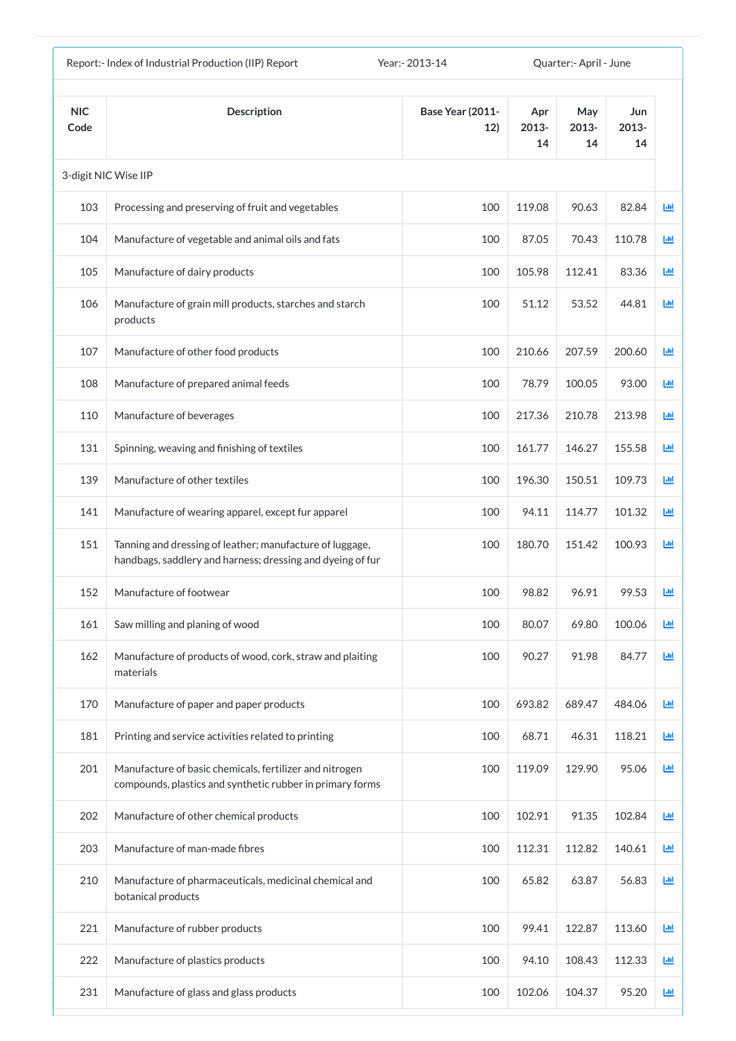|                    | Report:- Index of Industrial Production (IIP) Report                                                                   | Year: - 2013-14                |                    | Quarter:- April - June |                    |    |
|--------------------|------------------------------------------------------------------------------------------------------------------------|--------------------------------|--------------------|------------------------|--------------------|----|
| <b>NIC</b><br>Code | <b>Description</b>                                                                                                     | <b>Base Year (2011-</b><br>12) | Apr<br>2013-<br>14 | May<br>2013-<br>14     | Jun<br>2013-<br>14 |    |
|                    | 3-digit NIC Wise IIP                                                                                                   |                                |                    |                        |                    |    |
| 103                | Processing and preserving of fruit and vegetables                                                                      | 100                            | 119.08             | 90.63                  | 82.84              | 匝  |
| 104                | Manufacture of vegetable and animal oils and fats                                                                      | 100                            | 87.05              | 70.43                  | 110.78             | 匝  |
| 105                | Manufacture of dairy products                                                                                          | 100                            | 105.98             | 112.41                 | 83.36              | 國  |
| 106                | Manufacture of grain mill products, starches and starch<br>products                                                    | 100                            | 51.12              | 53.52                  | 44.81              | 画  |
| 107                | Manufacture of other food products                                                                                     | 100                            | 210.66             | 207.59                 | 200.60             | 画  |
| 108                | Manufacture of prepared animal feeds                                                                                   | 100                            | 78.79              | 100.05                 | 93.00              | 画  |
| 110                | Manufacture of beverages                                                                                               | 100                            | 217.36             | 210.78                 | 213.98             | 匝  |
| 131                | Spinning, weaving and finishing of textiles                                                                            | 100                            | 161.77             | 146.27                 | 155.58             | 画  |
| 139                | Manufacture of other textiles                                                                                          | 100                            | 196.30             | 150.51                 | 109.73             | ш  |
| 141                | Manufacture of wearing apparel, except fur apparel                                                                     | 100                            | 94.11              | 114.77                 | 101.32             | ш  |
| 151                | Tanning and dressing of leather; manufacture of luggage,<br>handbags, saddlery and harness; dressing and dyeing of fur | 100                            | 180.70             | 151.42                 | 100.93             | 匝  |
| 152                | Manufacture of footwear                                                                                                | 100                            | 98.82              | 96.91                  | 99.53              | 画  |
| 161                | Saw milling and planing of wood                                                                                        | 100                            | 80.07              | 69.80                  | 100.06             | 画  |
| 162                | Manufacture of products of wood, cork, straw and plaiting<br>materials                                                 | 100                            | 90.27              | 91.98                  | 84.77              | 國  |
| 170                | Manufacture of paper and paper products                                                                                | 100                            | 693.82             | 689.47                 | 484.06             | 画  |
| 181                | Printing and service activities related to printing                                                                    | 100                            | 68.71              | 46.31                  | 118.21             | 画  |
| 201                | Manufacture of basic chemicals, fertilizer and nitrogen<br>compounds, plastics and synthetic rubber in primary forms   | 100                            | 119.09             | 129.90                 | 95.06              | 画  |
| 202                | Manufacture of other chemical products                                                                                 | 100                            | 102.91             | 91.35                  | 102.84             | 画  |
| 203                | Manufacture of man-made fibres                                                                                         | 100                            | 112.31             | 112.82                 | 140.61             | ĿЩ |
| 210                | Manufacture of pharmaceuticals, medicinal chemical and<br>botanical products                                           | 100                            | 65.82              | 63.87                  | 56.83              | 画  |
| 221                | Manufacture of rubber products                                                                                         | 100                            | 99.41              | 122.87                 | 113.60             | 画  |
| 222                | Manufacture of plastics products                                                                                       | 100                            | 94.10              | 108.43                 | 112.33             | 画  |
| 231                | Manufacture of glass and glass products                                                                                | 100                            | 102.06             | 104.37                 | 95.20              | 画  |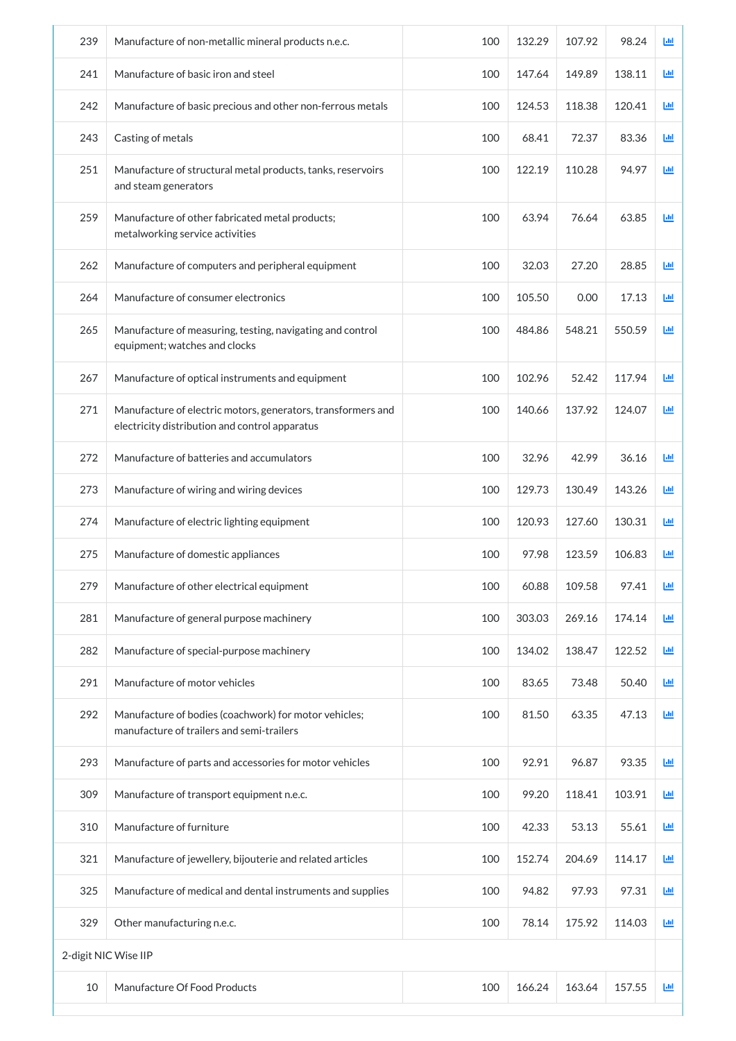| 239 | Manufacture of non-metallic mineral products n.e.c.                                                            | 100 | 132.29 | 107.92 | 98.24  | 画 |
|-----|----------------------------------------------------------------------------------------------------------------|-----|--------|--------|--------|---|
| 241 | Manufacture of basic iron and steel                                                                            | 100 | 147.64 | 149.89 | 138.11 | 画 |
| 242 | Manufacture of basic precious and other non-ferrous metals                                                     | 100 | 124.53 | 118.38 | 120.41 | 画 |
| 243 | Casting of metals                                                                                              | 100 | 68.41  | 72.37  | 83.36  | ш |
| 251 | Manufacture of structural metal products, tanks, reservoirs<br>and steam generators                            | 100 | 122.19 | 110.28 | 94.97  | 画 |
| 259 | Manufacture of other fabricated metal products;<br>metalworking service activities                             | 100 | 63.94  | 76.64  | 63.85  | 画 |
| 262 | Manufacture of computers and peripheral equipment                                                              | 100 | 32.03  | 27.20  | 28.85  | 画 |
| 264 | Manufacture of consumer electronics                                                                            | 100 | 105.50 | 0.00   | 17.13  | 画 |
| 265 | Manufacture of measuring, testing, navigating and control<br>equipment; watches and clocks                     | 100 | 484.86 | 548.21 | 550.59 | 画 |
| 267 | Manufacture of optical instruments and equipment                                                               | 100 | 102.96 | 52.42  | 117.94 | 画 |
| 271 | Manufacture of electric motors, generators, transformers and<br>electricity distribution and control apparatus | 100 | 140.66 | 137.92 | 124.07 | ш |
| 272 | Manufacture of batteries and accumulators                                                                      | 100 | 32.96  | 42.99  | 36.16  | ш |
| 273 | Manufacture of wiring and wiring devices                                                                       | 100 | 129.73 | 130.49 | 143.26 | 画 |
| 274 | Manufacture of electric lighting equipment                                                                     | 100 | 120.93 | 127.60 | 130.31 | 画 |
| 275 | Manufacture of domestic appliances                                                                             | 100 | 97.98  | 123.59 | 106.83 | 画 |
| 279 | Manufacture of other electrical equipment                                                                      | 100 | 60.88  | 109.58 | 97.41  | 画 |
| 281 | Manufacture of general purpose machinery                                                                       | 100 | 303.03 | 269.16 | 174.14 | 画 |
| 282 | Manufacture of special-purpose machinery                                                                       | 100 | 134.02 | 138.47 | 122.52 | 画 |
| 291 | Manufacture of motor vehicles                                                                                  | 100 | 83.65  | 73.48  | 50.40  | 画 |
| 292 | Manufacture of bodies (coachwork) for motor vehicles;<br>manufacture of trailers and semi-trailers             | 100 | 81.50  | 63.35  | 47.13  | 画 |
| 293 | Manufacture of parts and accessories for motor vehicles                                                        | 100 | 92.91  | 96.87  | 93.35  | 画 |
| 309 | Manufacture of transport equipment n.e.c.                                                                      | 100 | 99.20  | 118.41 | 103.91 | 画 |
| 310 | Manufacture of furniture                                                                                       | 100 | 42.33  | 53.13  | 55.61  | 画 |
| 321 | Manufacture of jewellery, bijouterie and related articles                                                      | 100 | 152.74 | 204.69 | 114.17 | 画 |
| 325 | Manufacture of medical and dental instruments and supplies                                                     | 100 | 94.82  | 97.93  | 97.31  | 画 |
| 329 | Other manufacturing n.e.c.                                                                                     | 100 | 78.14  | 175.92 | 114.03 | 画 |
|     | 2-digit NIC Wise IIP                                                                                           |     |        |        |        |   |
| 10  | Manufacture Of Food Products                                                                                   | 100 | 166.24 | 163.64 | 157.55 | ш |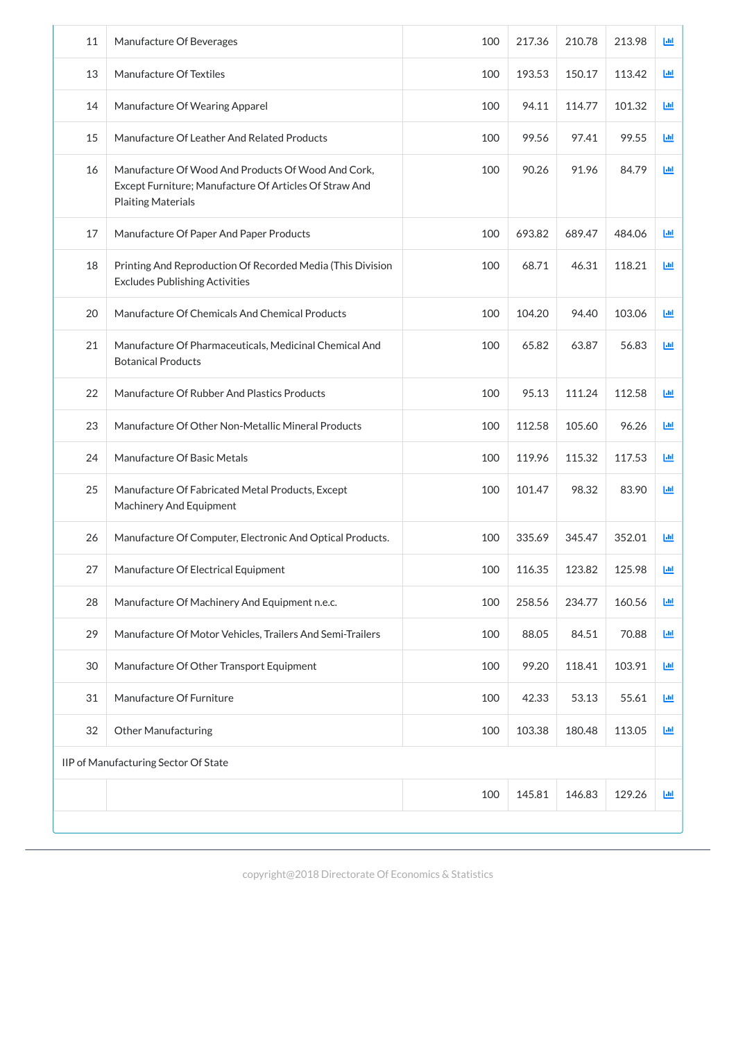| 11 | Manufacture Of Beverages                                                                                                                  | 100 | 217.36 | 210.78 | 213.98 | Lul        |
|----|-------------------------------------------------------------------------------------------------------------------------------------------|-----|--------|--------|--------|------------|
| 13 | Manufacture Of Textiles                                                                                                                   | 100 | 193.53 | 150.17 | 113.42 | ĿЩ         |
| 14 | Manufacture Of Wearing Apparel                                                                                                            | 100 | 94.11  | 114.77 | 101.32 | Ш          |
| 15 | Manufacture Of Leather And Related Products                                                                                               | 100 | 99.56  | 97.41  | 99.55  | <b>Ltd</b> |
| 16 | Manufacture Of Wood And Products Of Wood And Cork,<br>Except Furniture; Manufacture Of Articles Of Straw And<br><b>Plaiting Materials</b> | 100 | 90.26  | 91.96  | 84.79  | 画          |
| 17 | Manufacture Of Paper And Paper Products                                                                                                   | 100 | 693.82 | 689.47 | 484.06 | <b>Lul</b> |
| 18 | Printing And Reproduction Of Recorded Media (This Division<br><b>Excludes Publishing Activities</b>                                       | 100 | 68.71  | 46.31  | 118.21 | ĿЩ         |
| 20 | Manufacture Of Chemicals And Chemical Products                                                                                            | 100 | 104.20 | 94.40  | 103.06 | 画          |
| 21 | Manufacture Of Pharmaceuticals, Medicinal Chemical And<br><b>Botanical Products</b>                                                       | 100 | 65.82  | 63.87  | 56.83  | 画          |
| 22 | Manufacture Of Rubber And Plastics Products                                                                                               | 100 | 95.13  | 111.24 | 112.58 | ĿЩ         |
| 23 | Manufacture Of Other Non-Metallic Mineral Products                                                                                        | 100 | 112.58 | 105.60 | 96.26  | ĿЩ         |
| 24 | Manufacture Of Basic Metals                                                                                                               | 100 | 119.96 | 115.32 | 117.53 | ĿЩ         |
| 25 | Manufacture Of Fabricated Metal Products, Except<br>Machinery And Equipment                                                               | 100 | 101.47 | 98.32  | 83.90  | Ш          |
| 26 | Manufacture Of Computer, Electronic And Optical Products.                                                                                 | 100 | 335.69 | 345.47 | 352.01 | 画          |
| 27 | Manufacture Of Electrical Equipment                                                                                                       | 100 | 116.35 | 123.82 | 125.98 | 画          |
| 28 | Manufacture Of Machinery And Equipment n.e.c.                                                                                             | 100 | 258.56 | 234.77 | 160.56 | 画          |
| 29 | Manufacture Of Motor Vehicles, Trailers And Semi-Trailers                                                                                 | 100 | 88.05  | 84.51  | 70.88  | 画          |
| 30 | Manufacture Of Other Transport Equipment                                                                                                  | 100 | 99.20  | 118.41 | 103.91 | 画          |
| 31 | Manufacture Of Furniture                                                                                                                  | 100 | 42.33  | 53.13  | 55.61  | 画          |
| 32 | <b>Other Manufacturing</b>                                                                                                                | 100 | 103.38 | 180.48 | 113.05 | 画          |
|    | IIP of Manufacturing Sector Of State                                                                                                      |     |        |        |        |            |
|    |                                                                                                                                           |     |        |        |        |            |

| 100 | $1$ $1$ $\Gamma$ $0$ $1$<br>145.81 | $\sqrt{2}$<br>$4\ell$<br>⊻<br>140.09 | 100<br>$\sqrt{2}$<br><u>_</u><br>$-$ | TШ |
|-----|------------------------------------|--------------------------------------|--------------------------------------|----|
|     |                                    |                                      |                                      |    |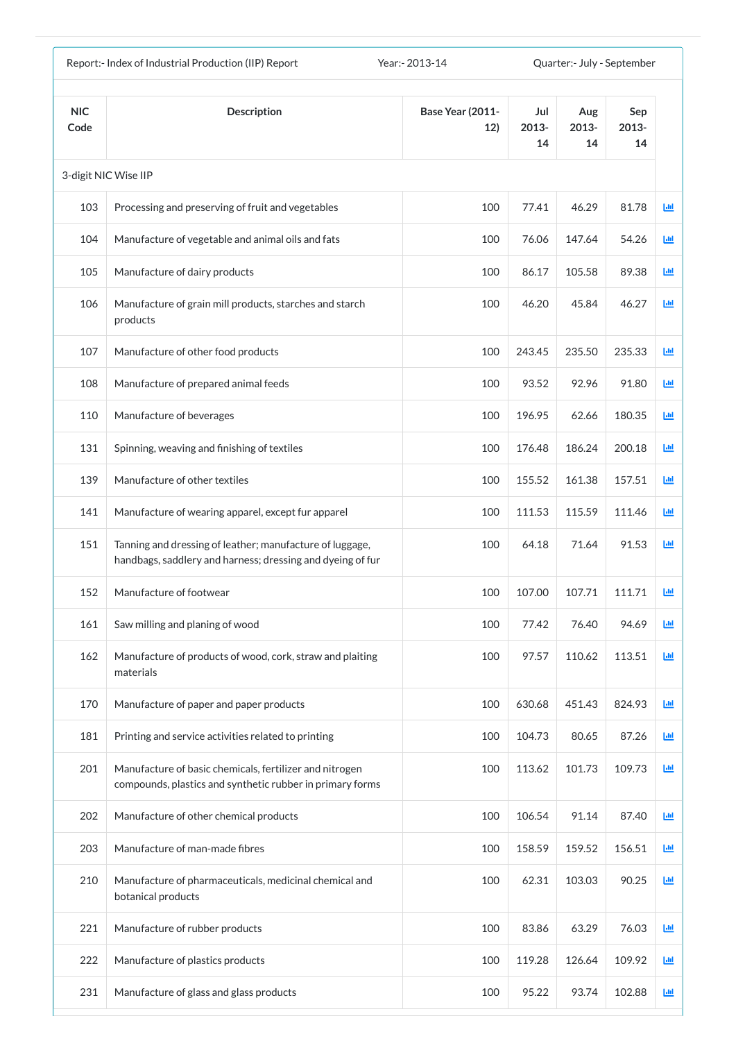|                    | Report:- Index of Industrial Production (IIP) Report                                                                   | Year: - 2013-14                |                    | Quarter:- July - September |                    |           |
|--------------------|------------------------------------------------------------------------------------------------------------------------|--------------------------------|--------------------|----------------------------|--------------------|-----------|
| <b>NIC</b><br>Code | <b>Description</b>                                                                                                     | <b>Base Year (2011-</b><br>12) | Jul<br>2013-<br>14 | Aug<br>2013-<br>14         | Sep<br>2013-<br>14 |           |
|                    | 3-digit NIC Wise IIP                                                                                                   |                                |                    |                            |                    |           |
| 103                | Processing and preserving of fruit and vegetables                                                                      | 100                            | 77.41              | 46.29                      | 81.78              | <u>ыш</u> |
| 104                | Manufacture of vegetable and animal oils and fats                                                                      | 100                            | 76.06              | 147.64                     | 54.26              | 匝         |
| 105                | Manufacture of dairy products                                                                                          | 100                            | 86.17              | 105.58                     | 89.38              | 画         |
| 106                | Manufacture of grain mill products, starches and starch<br>products                                                    | 100                            | 46.20              | 45.84                      | 46.27              | 國         |
| 107                | Manufacture of other food products                                                                                     | 100                            | 243.45             | 235.50                     | 235.33             | 画         |
| 108                | Manufacture of prepared animal feeds                                                                                   | 100                            | 93.52              | 92.96                      | 91.80              | 画         |
| 110                | Manufacture of beverages                                                                                               | 100                            | 196.95             | 62.66                      | 180.35             | 匝         |
| 131                | Spinning, weaving and finishing of textiles                                                                            | 100                            | 176.48             | 186.24                     | 200.18             | 國         |
| 139                | Manufacture of other textiles                                                                                          | 100                            | 155.52             | 161.38                     | 157.51             | Ш         |
| 141                | Manufacture of wearing apparel, except fur apparel                                                                     | 100                            | 111.53             | 115.59                     | 111.46             | ш         |
| 151                | Tanning and dressing of leather; manufacture of luggage,<br>handbags, saddlery and harness; dressing and dyeing of fur | 100                            | 64.18              | 71.64                      | 91.53              | 匝         |
| 152                | Manufacture of footwear                                                                                                | 100                            | 107.00             | 107.71                     | 111.71             | ш         |
| 161                | Saw milling and planing of wood                                                                                        | 100                            | 77.42              | 76.40                      | 94.69              | 画         |
| 162                | Manufacture of products of wood, cork, straw and plaiting<br>materials                                                 | 100                            | 97.57              | 110.62                     | 113.51             | 画         |
| 170                | Manufacture of paper and paper products                                                                                | 100                            | 630.68             | 451.43                     | 824.93             | 國         |
| 181                | Printing and service activities related to printing                                                                    | 100                            | 104.73             | 80.65                      | 87.26              | 画         |
| 201                | Manufacture of basic chemicals, fertilizer and nitrogen<br>compounds, plastics and synthetic rubber in primary forms   | 100                            | 113.62             | 101.73                     | 109.73             | 画         |
| 202                | Manufacture of other chemical products                                                                                 | 100                            | 106.54             | 91.14                      | 87.40              | 画         |
| 203                | Manufacture of man-made fibres                                                                                         | 100                            | 158.59             | 159.52                     | 156.51             | Ш         |
| 210                | Manufacture of pharmaceuticals, medicinal chemical and<br>botanical products                                           | 100                            | 62.31              | 103.03                     | 90.25              | 画         |
| 221                | Manufacture of rubber products                                                                                         | 100                            | 83.86              | 63.29                      | 76.03              | 画         |
| 222                | Manufacture of plastics products                                                                                       | 100                            | 119.28             | 126.64                     | 109.92             | Ш         |
| 231                | Manufacture of glass and glass products                                                                                | 100                            | 95.22              | 93.74                      | 102.88             | 画         |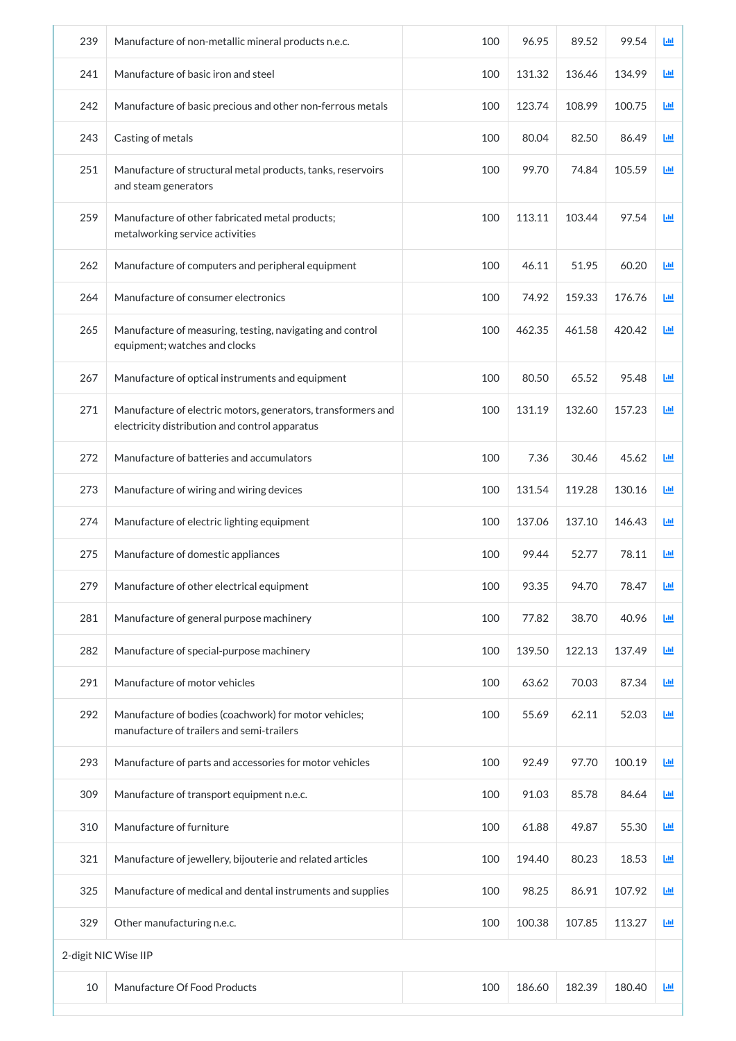| 239                  | Manufacture of non-metallic mineral products n.e.c.                                                            | 100 | 96.95  | 89.52  | 99.54  | Ш |
|----------------------|----------------------------------------------------------------------------------------------------------------|-----|--------|--------|--------|---|
| 241                  | Manufacture of basic iron and steel                                                                            | 100 | 131.32 | 136.46 | 134.99 | 画 |
| 242                  | Manufacture of basic precious and other non-ferrous metals                                                     | 100 | 123.74 | 108.99 | 100.75 | 画 |
| 243                  | Casting of metals                                                                                              | 100 | 80.04  | 82.50  | 86.49  | 画 |
| 251                  | Manufacture of structural metal products, tanks, reservoirs<br>and steam generators                            | 100 | 99.70  | 74.84  | 105.59 | 画 |
| 259                  | Manufacture of other fabricated metal products;<br>metalworking service activities                             | 100 | 113.11 | 103.44 | 97.54  | 画 |
| 262                  | Manufacture of computers and peripheral equipment                                                              | 100 | 46.11  | 51.95  | 60.20  | 画 |
| 264                  | Manufacture of consumer electronics                                                                            | 100 | 74.92  | 159.33 | 176.76 | 画 |
| 265                  | Manufacture of measuring, testing, navigating and control<br>equipment; watches and clocks                     | 100 | 462.35 | 461.58 | 420.42 | 画 |
| 267                  | Manufacture of optical instruments and equipment                                                               | 100 | 80.50  | 65.52  | 95.48  | 画 |
| 271                  | Manufacture of electric motors, generators, transformers and<br>electricity distribution and control apparatus | 100 | 131.19 | 132.60 | 157.23 | 画 |
| 272                  | Manufacture of batteries and accumulators                                                                      | 100 | 7.36   | 30.46  | 45.62  | ш |
| 273                  | Manufacture of wiring and wiring devices                                                                       | 100 | 131.54 | 119.28 | 130.16 | 画 |
| 274                  | Manufacture of electric lighting equipment                                                                     | 100 | 137.06 | 137.10 | 146.43 | 画 |
| 275                  | Manufacture of domestic appliances                                                                             | 100 | 99.44  | 52.77  | 78.11  | ш |
| 279                  | Manufacture of other electrical equipment                                                                      | 100 | 93.35  | 94.70  | 78.47  | 画 |
| 281                  | Manufacture of general purpose machinery                                                                       | 100 | 77.82  | 38.70  | 40.96  | 画 |
| 282                  | Manufacture of special-purpose machinery                                                                       | 100 | 139.50 | 122.13 | 137.49 | 画 |
| 291                  | Manufacture of motor vehicles                                                                                  | 100 | 63.62  | 70.03  | 87.34  | 画 |
| 292                  | Manufacture of bodies (coachwork) for motor vehicles;<br>manufacture of trailers and semi-trailers             | 100 | 55.69  | 62.11  | 52.03  | 画 |
| 293                  | Manufacture of parts and accessories for motor vehicles                                                        | 100 | 92.49  | 97.70  | 100.19 | 画 |
| 309                  | Manufacture of transport equipment n.e.c.                                                                      | 100 | 91.03  | 85.78  | 84.64  | 画 |
| 310                  | Manufacture of furniture                                                                                       | 100 | 61.88  | 49.87  | 55.30  | 画 |
| 321                  | Manufacture of jewellery, bijouterie and related articles                                                      | 100 | 194.40 | 80.23  | 18.53  | 画 |
| 325                  | Manufacture of medical and dental instruments and supplies                                                     | 100 | 98.25  | 86.91  | 107.92 | 画 |
| 329                  | Other manufacturing n.e.c.                                                                                     | 100 | 100.38 | 107.85 | 113.27 | 画 |
| 2-digit NIC Wise IIP |                                                                                                                |     |        |        |        |   |
| 10                   | Manufacture Of Food Products                                                                                   | 100 | 186.60 | 182.39 | 180.40 | 画 |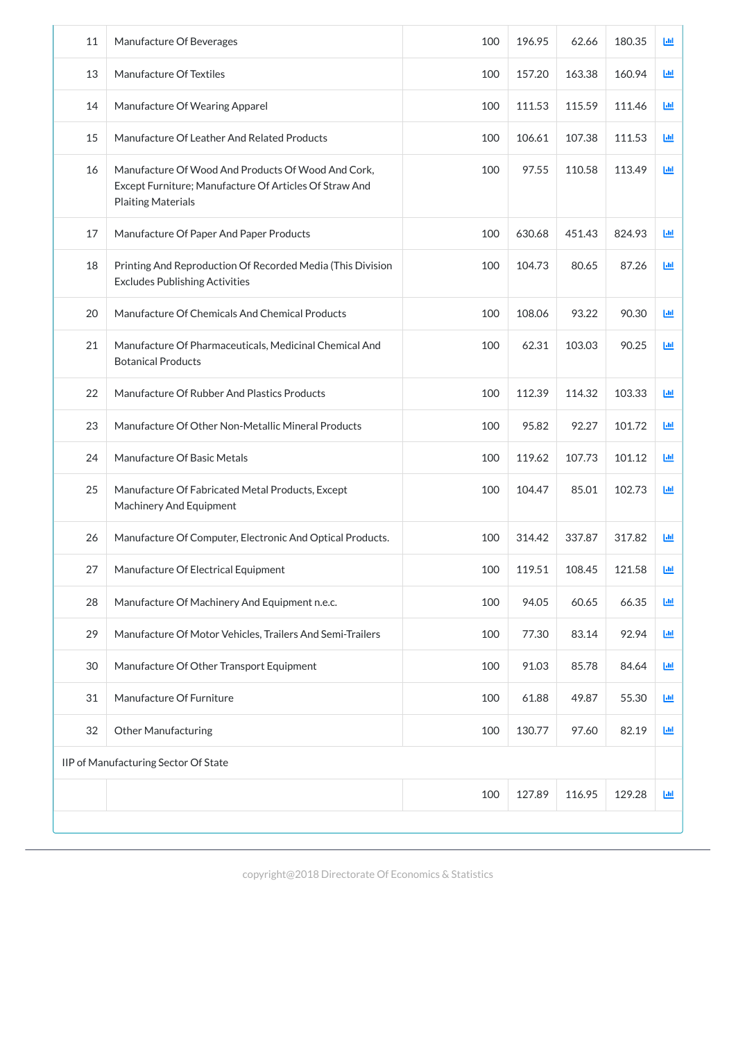| 11 | Manufacture Of Beverages                                                                                                                  | 100 | 196.95 | 62.66  | 180.35 | Ш |
|----|-------------------------------------------------------------------------------------------------------------------------------------------|-----|--------|--------|--------|---|
| 13 | Manufacture Of Textiles                                                                                                                   | 100 | 157.20 | 163.38 | 160.94 | Ш |
| 14 | Manufacture Of Wearing Apparel                                                                                                            | 100 | 111.53 | 115.59 | 111.46 | ш |
| 15 | Manufacture Of Leather And Related Products                                                                                               | 100 | 106.61 | 107.38 | 111.53 | ш |
| 16 | Manufacture Of Wood And Products Of Wood And Cork,<br>Except Furniture; Manufacture Of Articles Of Straw And<br><b>Plaiting Materials</b> | 100 | 97.55  | 110.58 | 113.49 | 画 |
| 17 | Manufacture Of Paper And Paper Products                                                                                                   | 100 | 630.68 | 451.43 | 824.93 | 画 |
| 18 | Printing And Reproduction Of Recorded Media (This Division<br><b>Excludes Publishing Activities</b>                                       | 100 | 104.73 | 80.65  | 87.26  | 画 |
| 20 | Manufacture Of Chemicals And Chemical Products                                                                                            | 100 | 108.06 | 93.22  | 90.30  | 画 |
| 21 | Manufacture Of Pharmaceuticals, Medicinal Chemical And<br><b>Botanical Products</b>                                                       | 100 | 62.31  | 103.03 | 90.25  | 画 |
| 22 | Manufacture Of Rubber And Plastics Products                                                                                               | 100 | 112.39 | 114.32 | 103.33 | 画 |
| 23 | Manufacture Of Other Non-Metallic Mineral Products                                                                                        | 100 | 95.82  | 92.27  | 101.72 | 画 |
| 24 | Manufacture Of Basic Metals                                                                                                               | 100 | 119.62 | 107.73 | 101.12 | ш |
| 25 | Manufacture Of Fabricated Metal Products, Except<br><b>Machinery And Equipment</b>                                                        | 100 | 104.47 | 85.01  | 102.73 | 画 |
| 26 | Manufacture Of Computer, Electronic And Optical Products.                                                                                 | 100 | 314.42 | 337.87 | 317.82 | 画 |
| 27 | Manufacture Of Electrical Equipment                                                                                                       | 100 | 119.51 | 108.45 | 121.58 | ш |
| 28 | Manufacture Of Machinery And Equipment n.e.c.                                                                                             | 100 | 94.05  | 60.65  | 66.35  | ш |
| 29 | Manufacture Of Motor Vehicles, Trailers And Semi-Trailers                                                                                 | 100 | 77.30  | 83.14  | 92.94  | Ш |
| 30 | Manufacture Of Other Transport Equipment                                                                                                  | 100 | 91.03  | 85.78  | 84.64  | 画 |
| 31 | Manufacture Of Furniture                                                                                                                  | 100 | 61.88  | 49.87  | 55.30  | Ш |
| 32 | <b>Other Manufacturing</b>                                                                                                                | 100 | 130.77 | 97.60  | 82.19  | 画 |
|    | IIP of Manufacturing Sector Of State                                                                                                      |     |        |        |        |   |
|    |                                                                                                                                           | 100 | 127.89 | 116.95 | 129.28 | 國 |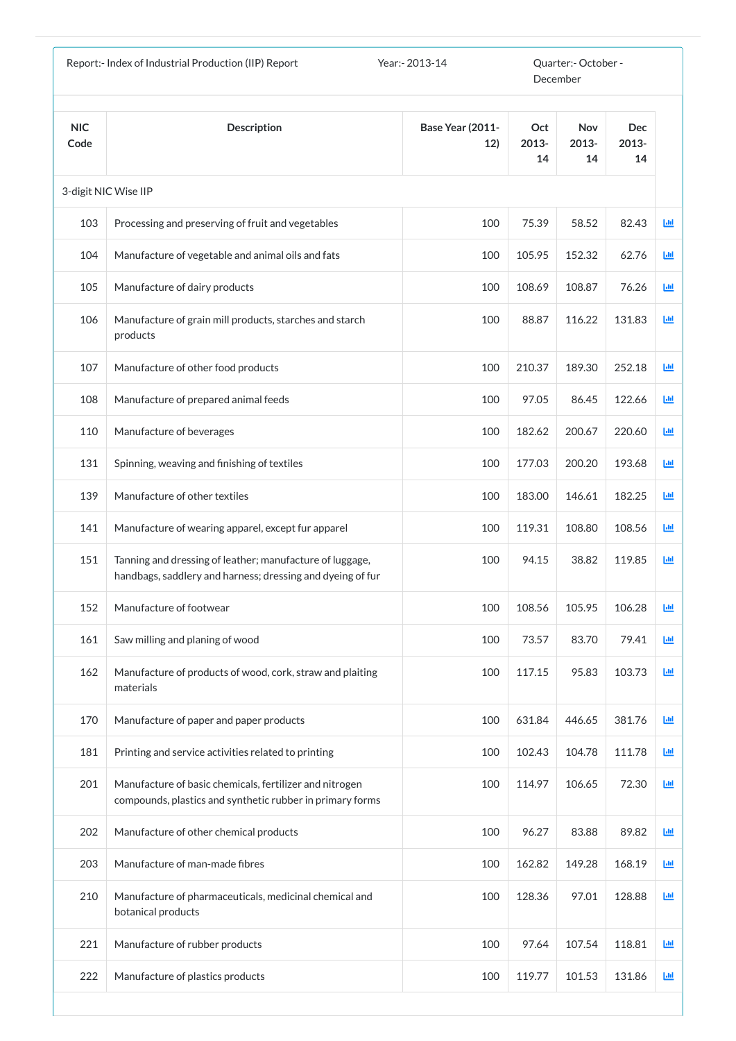|                    | Report:- Index of Industrial Production (IIP) Report                                                                   | Year: - 2013-14                |                    | Quarter:- October -<br>December |                           |             |
|--------------------|------------------------------------------------------------------------------------------------------------------------|--------------------------------|--------------------|---------------------------------|---------------------------|-------------|
| <b>NIC</b><br>Code | <b>Description</b>                                                                                                     | <b>Base Year (2011-</b><br>12) | Oct<br>2013-<br>14 | <b>Nov</b><br>2013-<br>14       | <b>Dec</b><br>2013-<br>14 |             |
|                    | 3-digit NIC Wise IIP                                                                                                   |                                |                    |                                 |                           |             |
| 103                | Processing and preserving of fruit and vegetables                                                                      | 100                            | 75.39              | 58.52                           | 82.43                     | $L_{\rm H}$ |
| 104                | Manufacture of vegetable and animal oils and fats                                                                      | 100                            | 105.95             | 152.32                          | 62.76                     | 画           |
| 105                | Manufacture of dairy products                                                                                          | 100                            | 108.69             | 108.87                          | 76.26                     | 画           |
| 106                | Manufacture of grain mill products, starches and starch<br>products                                                    | 100                            | 88.87              | 116.22                          | 131.83                    | 画           |
| 107                | Manufacture of other food products                                                                                     | 100                            | 210.37             | 189.30                          | 252.18                    | Ш           |
| 108                | Manufacture of prepared animal feeds                                                                                   | 100                            | 97.05              | 86.45                           | 122.66                    | 画           |
| 110                | Manufacture of beverages                                                                                               | 100                            | 182.62             | 200.67                          | 220.60                    | 画           |
| 131                | Spinning, weaving and finishing of textiles                                                                            | 100                            | 177.03             | 200.20                          | 193.68                    | 画           |
| 139                | Manufacture of other textiles                                                                                          | 100                            | 183.00             | 146.61                          | 182.25                    | 画           |
| 141                | Manufacture of wearing apparel, except fur apparel                                                                     | 100                            | 119.31             | 108.80                          | 108.56                    | 画           |
| 151                | Tanning and dressing of leather; manufacture of luggage,<br>handbags, saddlery and harness; dressing and dyeing of fur | 100                            | 94.15              | 38.82                           | 119.85                    | 画           |
| 152                | Manufacture of footwear                                                                                                | 100                            | 108.56             | 105.95                          | 106.28                    | 画           |
| 161                | Saw milling and planing of wood                                                                                        | 100                            | 73.57              | 83.70                           | 79.41                     | 画           |
| 162                | Manufacture of products of wood, cork, straw and plaiting<br>materials                                                 | 100                            | 117.15             | 95.83                           | 103.73                    | 画           |
| 170                | Manufacture of paper and paper products                                                                                | 100                            | 631.84             | 446.65                          | 381.76                    | 画           |
| 181                | Printing and service activities related to printing                                                                    | 100                            | 102.43             | 104.78                          | 111.78                    | 画           |
| 201                | Manufacture of basic chemicals, fertilizer and nitrogen<br>compounds, plastics and synthetic rubber in primary forms   | 100                            | 114.97             | 106.65                          | 72.30                     | 画           |
| 202                | Manufacture of other chemical products                                                                                 | 100                            | 96.27              | 83.88                           | 89.82                     | 画           |
| 203                | Manufacture of man-made fibres                                                                                         | 100                            | 162.82             | 149.28                          | 168.19                    | 画           |
| 210                | Manufacture of pharmaceuticals, medicinal chemical and<br>botanical products                                           | 100                            | 128.36             | 97.01                           | 128.88                    | 画           |
| 221                | Manufacture of rubber products                                                                                         | 100                            | 97.64              | 107.54                          | 118.81                    | 画           |
| 222                | Manufacture of plastics products                                                                                       | 100                            | 119.77             | 101.53                          | 131.86                    | 画           |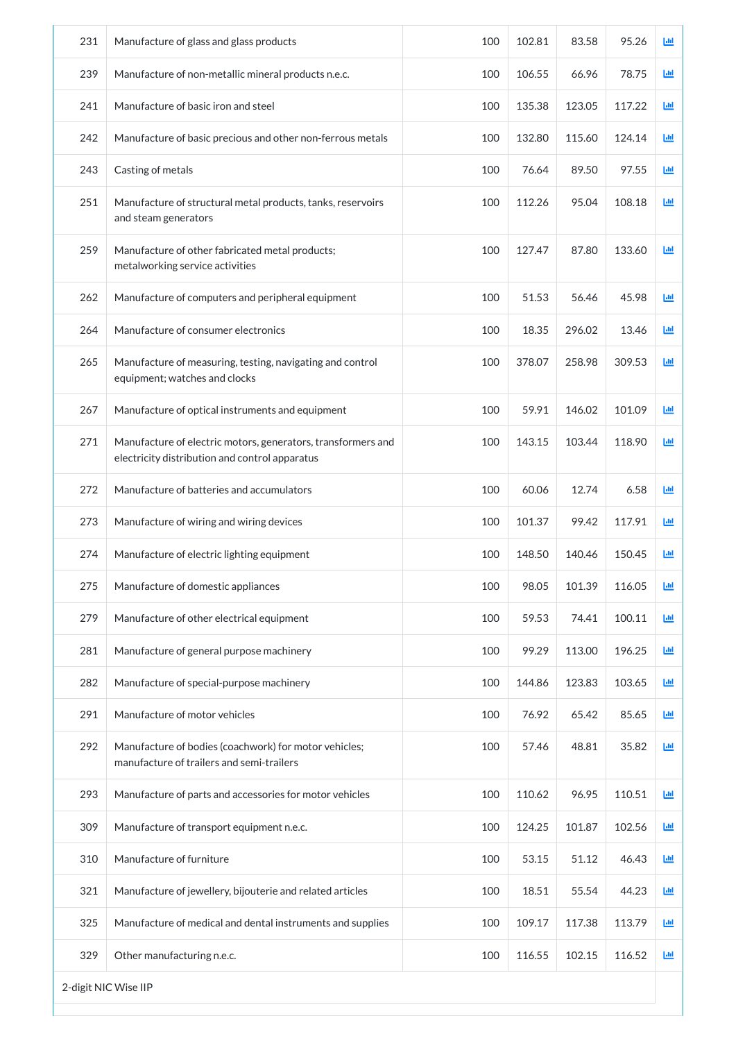| 231 | Manufacture of glass and glass products                                                                        | 100 | 102.81 | 83.58  | 95.26  | 画 |
|-----|----------------------------------------------------------------------------------------------------------------|-----|--------|--------|--------|---|
| 239 | Manufacture of non-metallic mineral products n.e.c.                                                            | 100 | 106.55 | 66.96  | 78.75  | 画 |
| 241 | Manufacture of basic iron and steel                                                                            | 100 | 135.38 | 123.05 | 117.22 | ш |
| 242 | Manufacture of basic precious and other non-ferrous metals                                                     | 100 | 132.80 | 115.60 | 124.14 | 画 |
| 243 | Casting of metals                                                                                              | 100 | 76.64  | 89.50  | 97.55  | 画 |
| 251 | Manufacture of structural metal products, tanks, reservoirs<br>and steam generators                            | 100 | 112.26 | 95.04  | 108.18 | 画 |
| 259 | Manufacture of other fabricated metal products;<br>metalworking service activities                             | 100 | 127.47 | 87.80  | 133.60 | 画 |
| 262 | Manufacture of computers and peripheral equipment                                                              | 100 | 51.53  | 56.46  | 45.98  | 画 |
| 264 | Manufacture of consumer electronics                                                                            | 100 | 18.35  | 296.02 | 13.46  | 画 |
| 265 | Manufacture of measuring, testing, navigating and control<br>equipment; watches and clocks                     | 100 | 378.07 | 258.98 | 309.53 | 画 |
| 267 | Manufacture of optical instruments and equipment                                                               | 100 | 59.91  | 146.02 | 101.09 | Ш |
| 271 | Manufacture of electric motors, generators, transformers and<br>electricity distribution and control apparatus | 100 | 143.15 | 103.44 | 118.90 | 画 |
| 272 | Manufacture of batteries and accumulators                                                                      | 100 | 60.06  | 12.74  | 6.58   | ш |
| 273 | Manufacture of wiring and wiring devices                                                                       | 100 | 101.37 | 99.42  | 117.91 | ш |
| 274 | Manufacture of electric lighting equipment                                                                     | 100 | 148.50 | 140.46 | 150.45 | ш |
| 275 | Manufacture of domestic appliances                                                                             | 100 | 98.05  | 101.39 | 116.05 | 画 |
| 279 | Manufacture of other electrical equipment                                                                      | 100 | 59.53  | 74.41  | 100.11 | 画 |
| 281 | Manufacture of general purpose machinery                                                                       | 100 | 99.29  | 113.00 | 196.25 | 画 |
| 282 | Manufacture of special-purpose machinery                                                                       | 100 | 144.86 | 123.83 | 103.65 | 画 |
| 291 | Manufacture of motor vehicles                                                                                  | 100 | 76.92  | 65.42  | 85.65  | 画 |
| 292 | Manufacture of bodies (coachwork) for motor vehicles;<br>manufacture of trailers and semi-trailers             | 100 | 57.46  | 48.81  | 35.82  | 画 |
| 293 | Manufacture of parts and accessories for motor vehicles                                                        | 100 | 110.62 | 96.95  | 110.51 | ш |
| 309 | Manufacture of transport equipment n.e.c.                                                                      | 100 | 124.25 | 101.87 | 102.56 | 画 |
| 310 | Manufacture of furniture                                                                                       | 100 | 53.15  | 51.12  | 46.43  | 画 |
| 321 | Manufacture of jewellery, bijouterie and related articles                                                      | 100 | 18.51  | 55.54  | 44.23  | 画 |
| 325 | Manufacture of medical and dental instruments and supplies                                                     | 100 | 109.17 | 117.38 | 113.79 | 画 |
| 329 | Other manufacturing n.e.c.                                                                                     | 100 | 116.55 | 102.15 | 116.52 | 画 |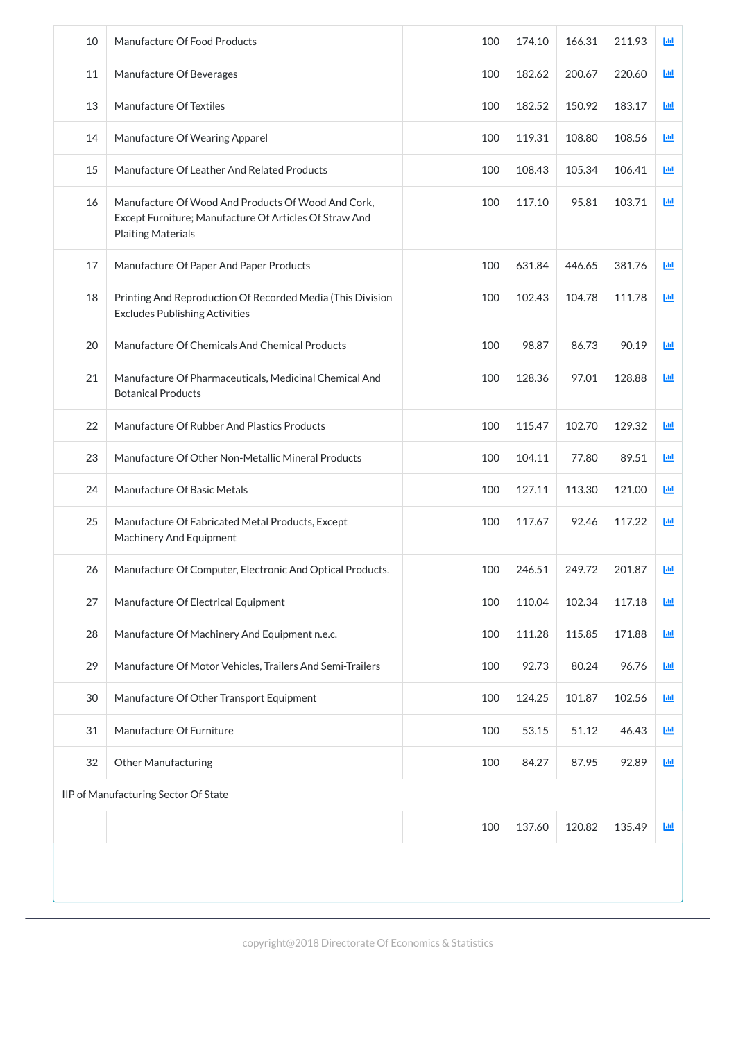| 10 | Manufacture Of Food Products                                                                                                              | 100 | 174.10 | 166.31 | 211.93 | 回                          |
|----|-------------------------------------------------------------------------------------------------------------------------------------------|-----|--------|--------|--------|----------------------------|
| 11 | Manufacture Of Beverages                                                                                                                  | 100 | 182.62 | 200.67 | 220.60 | 画                          |
| 13 | Manufacture Of Textiles                                                                                                                   | 100 | 182.52 | 150.92 | 183.17 | 画                          |
| 14 | Manufacture Of Wearing Apparel                                                                                                            | 100 | 119.31 | 108.80 | 108.56 | 画                          |
| 15 | Manufacture Of Leather And Related Products                                                                                               | 100 | 108.43 | 105.34 | 106.41 | Щ                          |
| 16 | Manufacture Of Wood And Products Of Wood And Cork,<br>Except Furniture; Manufacture Of Articles Of Straw And<br><b>Plaiting Materials</b> | 100 | 117.10 | 95.81  | 103.71 | 画                          |
| 17 | Manufacture Of Paper And Paper Products                                                                                                   | 100 | 631.84 | 446.65 | 381.76 | 画                          |
| 18 | Printing And Reproduction Of Recorded Media (This Division<br><b>Excludes Publishing Activities</b>                                       | 100 | 102.43 | 104.78 | 111.78 | 画                          |
| 20 | Manufacture Of Chemicals And Chemical Products                                                                                            | 100 | 98.87  | 86.73  | 90.19  | 画                          |
| 21 | Manufacture Of Pharmaceuticals, Medicinal Chemical And<br><b>Botanical Products</b>                                                       | 100 | 128.36 | 97.01  | 128.88 | 画                          |
| 22 | Manufacture Of Rubber And Plastics Products                                                                                               | 100 | 115.47 | 102.70 | 129.32 | 画                          |
| 23 | Manufacture Of Other Non-Metallic Mineral Products                                                                                        | 100 | 104.11 | 77.80  | 89.51  | 画                          |
| 24 | Manufacture Of Basic Metals                                                                                                               | 100 | 127.11 | 113.30 | 121.00 | 画                          |
| 25 | Manufacture Of Fabricated Metal Products, Except<br><b>Machinery And Equipment</b>                                                        | 100 | 117.67 | 92.46  | 117.22 | 画                          |
| 26 | Manufacture Of Computer, Electronic And Optical Products.                                                                                 | 100 | 246.51 | 249.72 | 201.87 | 画                          |
| 27 | Manufacture Of Electrical Equipment                                                                                                       | 100 | 110.04 | 102.34 | 117.18 | 画                          |
| 28 | Manufacture Of Machinery And Equipment n.e.c.                                                                                             | 100 | 111.28 | 115.85 | 171.88 | 画                          |
| 29 | Manufacture Of Motor Vehicles, Trailers And Semi-Trailers                                                                                 | 100 | 92.73  | 80.24  | 96.76  | 画                          |
| 30 | Manufacture Of Other Transport Equipment                                                                                                  | 100 | 124.25 | 101.87 | 102.56 | 画                          |
| 31 | Manufacture Of Furniture                                                                                                                  | 100 | 53.15  | 51.12  | 46.43  | 画                          |
| 32 | <b>Other Manufacturing</b>                                                                                                                | 100 | 84.27  | 87.95  | 92.89  | 画                          |
|    | IIP of Manufacturing Sector Of State                                                                                                      |     |        |        |        |                            |
|    |                                                                                                                                           | 100 | 137.60 | 120.82 | 135.49 | $\underline{\mathsf{Lul}}$ |
|    |                                                                                                                                           |     |        |        |        |                            |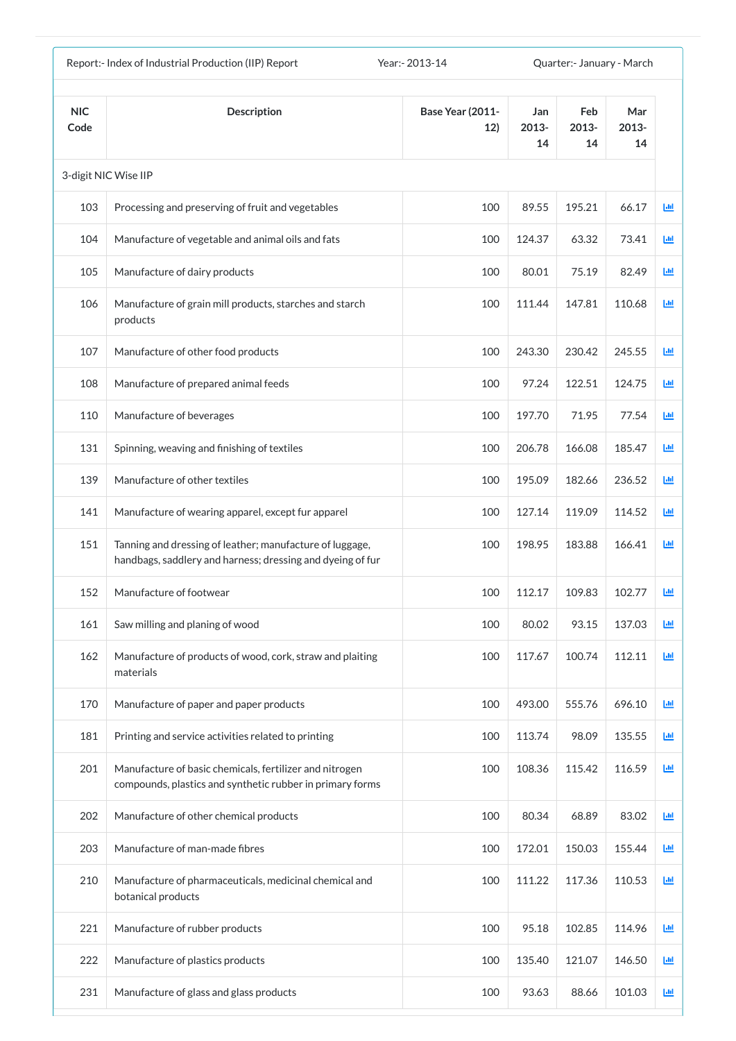| Report:- Index of Industrial Production (IIP) Report<br>Year: - 2013-14<br>Quarter:- January - March |                                                                                                                        |                                |                    |                    |                    |            |
|------------------------------------------------------------------------------------------------------|------------------------------------------------------------------------------------------------------------------------|--------------------------------|--------------------|--------------------|--------------------|------------|
| <b>NIC</b><br>Code                                                                                   | <b>Description</b>                                                                                                     | <b>Base Year (2011-</b><br>12) | Jan<br>2013-<br>14 | Feb<br>2013-<br>14 | Mar<br>2013-<br>14 |            |
|                                                                                                      | 3-digit NIC Wise IIP                                                                                                   |                                |                    |                    |                    |            |
| 103                                                                                                  | Processing and preserving of fruit and vegetables                                                                      | 100                            | 89.55              | 195.21             | 66.17              | <b>Lul</b> |
| 104                                                                                                  | Manufacture of vegetable and animal oils and fats                                                                      | 100                            | 124.37             | 63.32              | 73.41              | 匝          |
| 105                                                                                                  | Manufacture of dairy products                                                                                          | 100                            | 80.01              | 75.19              | 82.49              | 國          |
| 106                                                                                                  | Manufacture of grain mill products, starches and starch<br>products                                                    | 100                            | 111.44             | 147.81             | 110.68             | 画          |
| 107                                                                                                  | Manufacture of other food products                                                                                     | 100                            | 243.30             | 230.42             | 245.55             | 画          |
| 108                                                                                                  | Manufacture of prepared animal feeds                                                                                   | 100                            | 97.24              | 122.51             | 124.75             | 画          |
| 110                                                                                                  | Manufacture of beverages                                                                                               | 100                            | 197.70             | 71.95              | 77.54              | 匝          |
| 131                                                                                                  | Spinning, weaving and finishing of textiles                                                                            | 100                            | 206.78             | 166.08             | 185.47             | 画          |
| 139                                                                                                  | Manufacture of other textiles                                                                                          | 100                            | 195.09             | 182.66             | 236.52             | ш          |
| 141                                                                                                  | Manufacture of wearing apparel, except fur apparel                                                                     | 100                            | 127.14             | 119.09             | 114.52             | 画          |
| 151                                                                                                  | Tanning and dressing of leather; manufacture of luggage,<br>handbags, saddlery and harness; dressing and dyeing of fur | 100                            | 198.95             | 183.88             | 166.41             | 國          |
| 152                                                                                                  | Manufacture of footwear                                                                                                | 100                            | 112.17             | 109.83             | 102.77             | 画          |
| 161                                                                                                  | Saw milling and planing of wood                                                                                        | 100                            | 80.02              | 93.15              | 137.03             | 画          |
| 162                                                                                                  | Manufacture of products of wood, cork, straw and plaiting<br>materials                                                 | 100                            | 117.67             | 100.74             | 112.11             | 画          |
| 170                                                                                                  | Manufacture of paper and paper products                                                                                | 100                            | 493.00             | 555.76             | 696.10             | 画          |
| 181                                                                                                  | Printing and service activities related to printing                                                                    | 100                            | 113.74             | 98.09              | 135.55             | 画          |
| 201                                                                                                  | Manufacture of basic chemicals, fertilizer and nitrogen<br>compounds, plastics and synthetic rubber in primary forms   | 100                            | 108.36             | 115.42             | 116.59             | 画          |
| 202                                                                                                  | Manufacture of other chemical products                                                                                 | 100                            | 80.34              | 68.89              | 83.02              | 國          |
| 203                                                                                                  | Manufacture of man-made fibres                                                                                         | 100                            | 172.01             | 150.03             | 155.44             | ĿЩ         |
| 210                                                                                                  | Manufacture of pharmaceuticals, medicinal chemical and<br>botanical products                                           | 100                            | 111.22             | 117.36             | 110.53             | 画          |
| 221                                                                                                  | Manufacture of rubber products                                                                                         | 100                            | 95.18              | 102.85             | 114.96             | 画          |
| 222                                                                                                  | Manufacture of plastics products                                                                                       | 100                            | 135.40             | 121.07             | 146.50             | 画          |
| 231                                                                                                  | Manufacture of glass and glass products                                                                                | 100                            | 93.63              | 88.66              | 101.03             | 画          |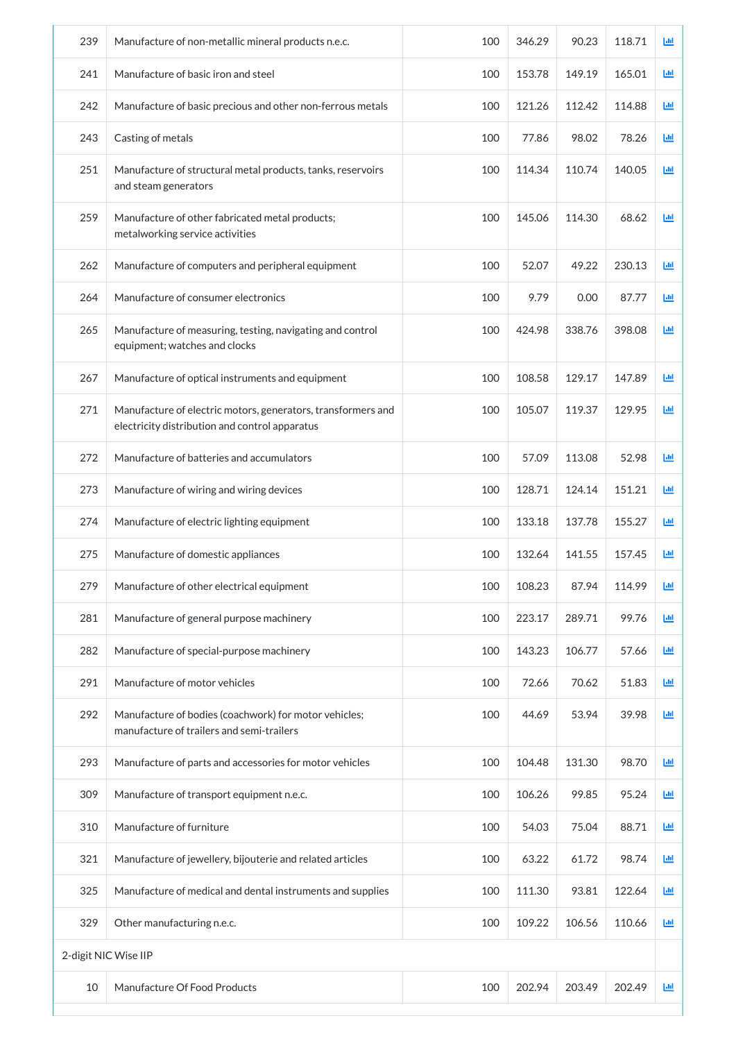| 239                  | Manufacture of non-metallic mineral products n.e.c.                                                            | 100 | 346.29 | 90.23  | 118.71 | Ш |
|----------------------|----------------------------------------------------------------------------------------------------------------|-----|--------|--------|--------|---|
| 241                  | Manufacture of basic iron and steel                                                                            | 100 | 153.78 | 149.19 | 165.01 | 画 |
| 242                  | Manufacture of basic precious and other non-ferrous metals                                                     | 100 | 121.26 | 112.42 | 114.88 | 画 |
| 243                  | Casting of metals                                                                                              | 100 | 77.86  | 98.02  | 78.26  | 画 |
| 251                  | Manufacture of structural metal products, tanks, reservoirs<br>and steam generators                            | 100 | 114.34 | 110.74 | 140.05 | 画 |
| 259                  | Manufacture of other fabricated metal products;<br>metalworking service activities                             | 100 | 145.06 | 114.30 | 68.62  | 画 |
| 262                  | Manufacture of computers and peripheral equipment                                                              | 100 | 52.07  | 49.22  | 230.13 | 画 |
| 264                  | Manufacture of consumer electronics                                                                            | 100 | 9.79   | 0.00   | 87.77  | 画 |
| 265                  | Manufacture of measuring, testing, navigating and control<br>equipment; watches and clocks                     | 100 | 424.98 | 338.76 | 398.08 | 画 |
| 267                  | Manufacture of optical instruments and equipment                                                               | 100 | 108.58 | 129.17 | 147.89 | 画 |
| 271                  | Manufacture of electric motors, generators, transformers and<br>electricity distribution and control apparatus | 100 | 105.07 | 119.37 | 129.95 | ш |
| 272                  | Manufacture of batteries and accumulators                                                                      | 100 | 57.09  | 113.08 | 52.98  | ш |
| 273                  | Manufacture of wiring and wiring devices                                                                       | 100 | 128.71 | 124.14 | 151.21 | 画 |
| 274                  | Manufacture of electric lighting equipment                                                                     | 100 | 133.18 | 137.78 | 155.27 | 画 |
| 275                  | Manufacture of domestic appliances                                                                             | 100 | 132.64 | 141.55 | 157.45 | ш |
| 279                  | Manufacture of other electrical equipment                                                                      | 100 | 108.23 | 87.94  | 114.99 | 画 |
| 281                  | Manufacture of general purpose machinery                                                                       | 100 | 223.17 | 289.71 | 99.76  | 画 |
| 282                  | Manufacture of special-purpose machinery                                                                       | 100 | 143.23 | 106.77 | 57.66  | 画 |
| 291                  | Manufacture of motor vehicles                                                                                  | 100 | 72.66  | 70.62  | 51.83  | 画 |
| 292                  | Manufacture of bodies (coachwork) for motor vehicles;<br>manufacture of trailers and semi-trailers             | 100 | 44.69  | 53.94  | 39.98  | 画 |
| 293                  | Manufacture of parts and accessories for motor vehicles                                                        | 100 | 104.48 | 131.30 | 98.70  | 画 |
| 309                  | Manufacture of transport equipment n.e.c.                                                                      | 100 | 106.26 | 99.85  | 95.24  | 画 |
| 310                  | Manufacture of furniture                                                                                       | 100 | 54.03  | 75.04  | 88.71  | 画 |
| 321                  | Manufacture of jewellery, bijouterie and related articles                                                      | 100 | 63.22  | 61.72  | 98.74  | 画 |
| 325                  | Manufacture of medical and dental instruments and supplies                                                     | 100 | 111.30 | 93.81  | 122.64 | 画 |
| 329                  | Other manufacturing n.e.c.                                                                                     | 100 | 109.22 | 106.56 | 110.66 | 画 |
| 2-digit NIC Wise IIP |                                                                                                                |     |        |        |        |   |
| 10                   | Manufacture Of Food Products                                                                                   | 100 | 202.94 | 203.49 | 202.49 | 画 |